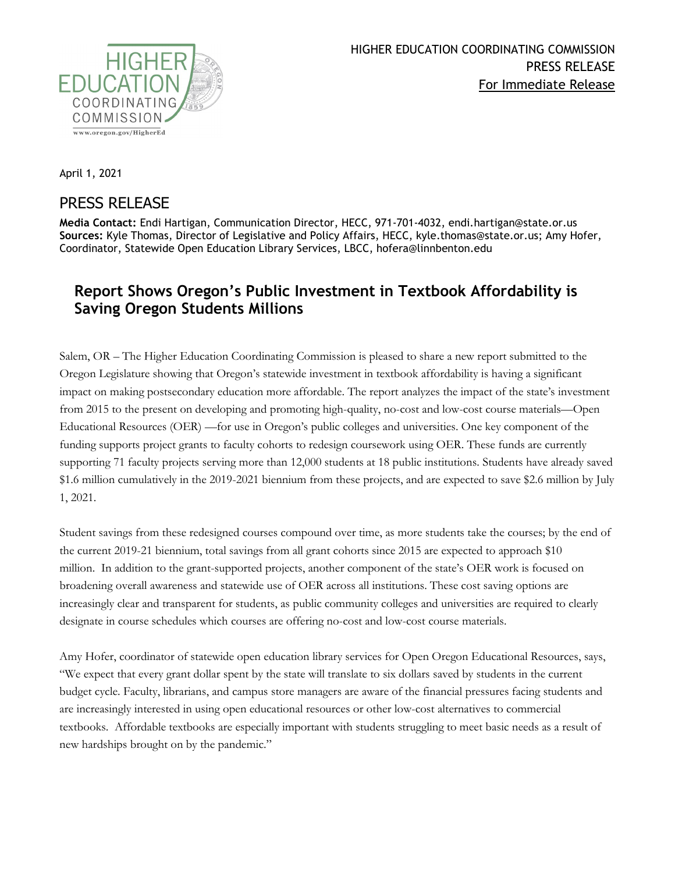

April 1, 2021

## PRESS RELEASE

**Media Contact:** Endi Hartigan, Communication Director, HECC, 971-701-4032, endi.hartigan@state.or.us **Sources:** Kyle Thomas, Director of Legislative and Policy Affairs, HECC, kyle.thomas@state.or.us; Amy Hofer, Coordinator, Statewide Open Education Library Services, LBCC, hofera@linnbenton.edu

## **Report Shows Oregon's Public Investment in Textbook Affordability is Saving Oregon Students Millions**

Salem, OR – The Higher Education Coordinating Commission is pleased to share a [new report submitted to the](https://www.oregon.gov/highered/research/Documents/Reports/HECC-348.765-Open-Educational-Resources-2021.pdf)  [Oregon Legislature](https://www.oregon.gov/highered/research/Documents/Reports/HECC-348.765-Open-Educational-Resources-2021.pdf) showing that Oregon's statewide investment in textbook affordability is having a significant impact on making postsecondary education more affordable. The report analyzes the impact of the state's investment from 2015 to the present on developing and promoting high-quality, no-cost and low-cost course materials—Open Educational Resources (OER) —for use in Oregon's public colleges and universities. One key component of the funding supports project grants to faculty cohorts to redesign coursework using OER. These funds are currently supporting 71 faculty projects serving more than 12,000 students at 18 public institutions. Students have already saved \$1.6 million cumulatively in the 2019-2021 biennium from these projects, and are expected to save \$2.6 million by July 1, 2021.

Student savings from these redesigned courses compound over time, as more students take the courses; by the end of the current 2019-21 biennium, total savings from all grant cohorts since 2015 are expected to approach \$10 million. In addition to the grant-supported projects, another component of the state's OER work is focused on broadening overall awareness and statewide use of OER across all institutions. These cost saving options are increasingly clear and transparent for students, as public community colleges and universities are required to clearly designate in course schedules which courses are offering no-cost and low-cost course materials.

Amy Hofer, coordinator of statewide open education library services for Open Oregon Educational Resources, says, "We expect that every grant dollar spent by the state will translate to six dollars saved by students in the current budget cycle. Faculty, librarians, and campus store managers are aware of the financial pressures facing students and are increasingly interested in using open educational resources or other low-cost alternatives to commercial textbooks. Affordable textbooks are especially important with students struggling to meet basic needs as a result of new hardships brought on by the pandemic."